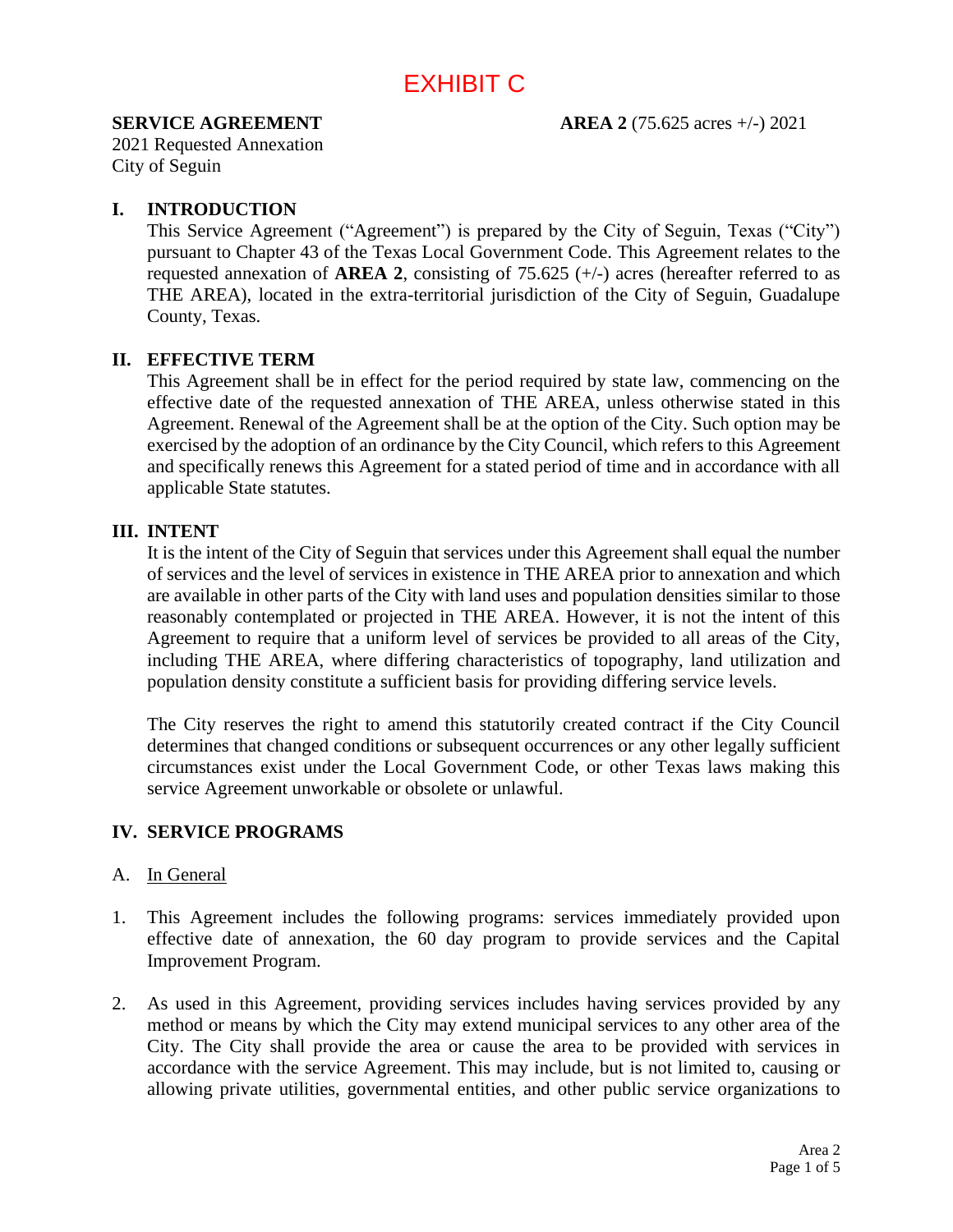# EXHIBIT C

#### **SERVICE AGREEMENT AREA 2** (75.625 acres +/-) 2021

2021 Requested Annexation City of Seguin

## **I. INTRODUCTION**

This Service Agreement ("Agreement") is prepared by the City of Seguin, Texas ("City") pursuant to Chapter 43 of the Texas Local Government Code. This Agreement relates to the requested annexation of **AREA 2**, consisting of 75.625 (+/-) acres (hereafter referred to as THE AREA), located in the extra-territorial jurisdiction of the City of Seguin, Guadalupe County, Texas.

## **II. EFFECTIVE TERM**

This Agreement shall be in effect for the period required by state law, commencing on the effective date of the requested annexation of THE AREA, unless otherwise stated in this Agreement. Renewal of the Agreement shall be at the option of the City. Such option may be exercised by the adoption of an ordinance by the City Council, which refers to this Agreement and specifically renews this Agreement for a stated period of time and in accordance with all applicable State statutes.

#### **III. INTENT**

It is the intent of the City of Seguin that services under this Agreement shall equal the number of services and the level of services in existence in THE AREA prior to annexation and which are available in other parts of the City with land uses and population densities similar to those reasonably contemplated or projected in THE AREA. However, it is not the intent of this Agreement to require that a uniform level of services be provided to all areas of the City, including THE AREA, where differing characteristics of topography, land utilization and population density constitute a sufficient basis for providing differing service levels.

The City reserves the right to amend this statutorily created contract if the City Council determines that changed conditions or subsequent occurrences or any other legally sufficient circumstances exist under the Local Government Code, or other Texas laws making this service Agreement unworkable or obsolete or unlawful.

# **IV. SERVICE PROGRAMS**

#### A. In General

- 1. This Agreement includes the following programs: services immediately provided upon effective date of annexation, the 60 day program to provide services and the Capital Improvement Program.
- 2. As used in this Agreement, providing services includes having services provided by any method or means by which the City may extend municipal services to any other area of the City. The City shall provide the area or cause the area to be provided with services in accordance with the service Agreement. This may include, but is not limited to, causing or allowing private utilities, governmental entities, and other public service organizations to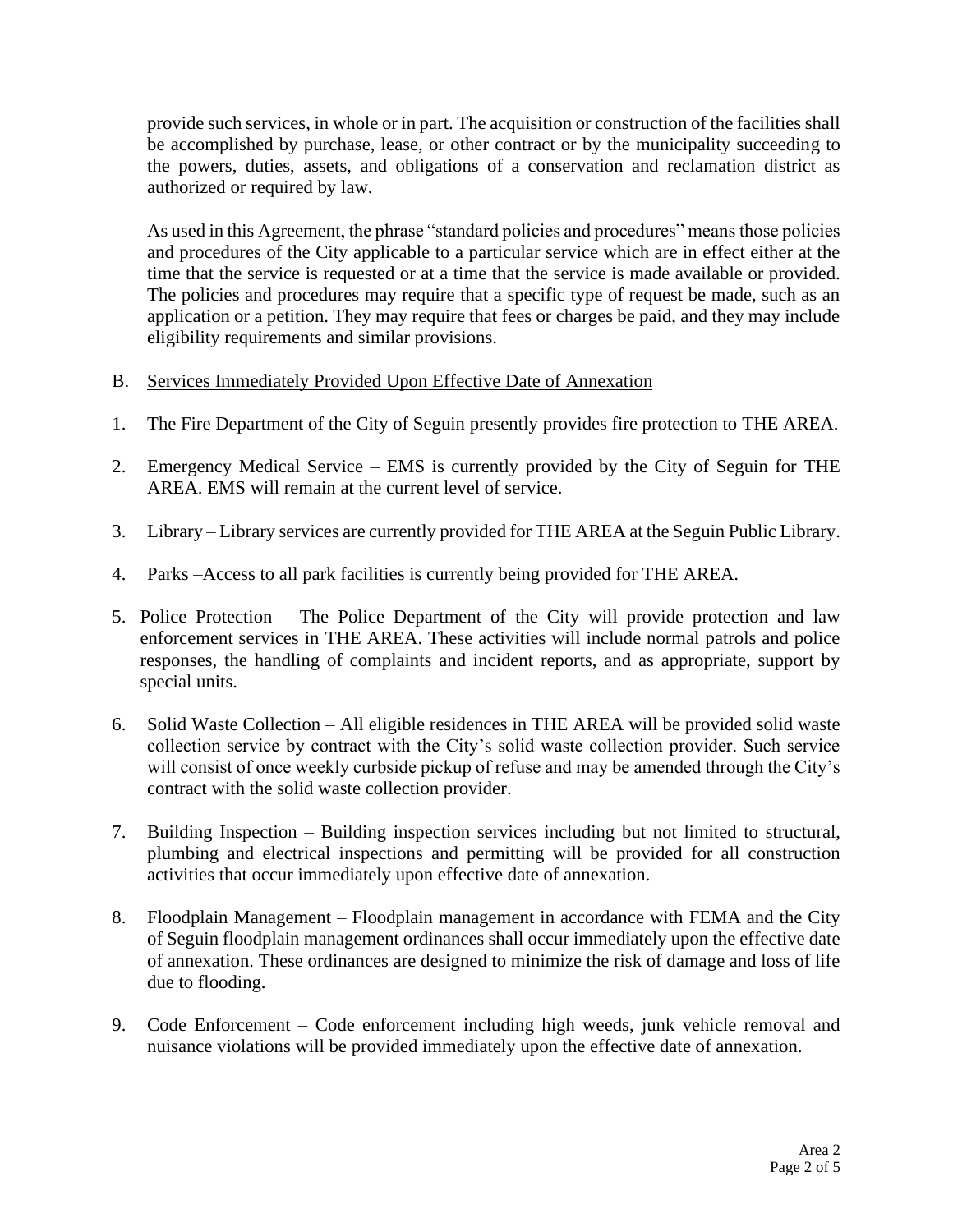provide such services, in whole or in part. The acquisition or construction of the facilities shall be accomplished by purchase, lease, or other contract or by the municipality succeeding to the powers, duties, assets, and obligations of a conservation and reclamation district as authorized or required by law.

As used in this Agreement, the phrase "standard policies and procedures" means those policies and procedures of the City applicable to a particular service which are in effect either at the time that the service is requested or at a time that the service is made available or provided. The policies and procedures may require that a specific type of request be made, such as an application or a petition. They may require that fees or charges be paid, and they may include eligibility requirements and similar provisions.

- B. Services Immediately Provided Upon Effective Date of Annexation
- 1. The Fire Department of the City of Seguin presently provides fire protection to THE AREA.
- 2. Emergency Medical Service EMS is currently provided by the City of Seguin for THE AREA. EMS will remain at the current level of service.
- 3. Library Library services are currently provided for THE AREA at the Seguin Public Library.
- 4. Parks –Access to all park facilities is currently being provided for THE AREA.
- 5. Police Protection The Police Department of the City will provide protection and law enforcement services in THE AREA. These activities will include normal patrols and police responses, the handling of complaints and incident reports, and as appropriate, support by special units.
- 6. Solid Waste Collection All eligible residences in THE AREA will be provided solid waste collection service by contract with the City's solid waste collection provider. Such service will consist of once weekly curbside pickup of refuse and may be amended through the City's contract with the solid waste collection provider.
- 7. Building Inspection Building inspection services including but not limited to structural, plumbing and electrical inspections and permitting will be provided for all construction activities that occur immediately upon effective date of annexation.
- 8. Floodplain Management Floodplain management in accordance with FEMA and the City of Seguin floodplain management ordinances shall occur immediately upon the effective date of annexation. These ordinances are designed to minimize the risk of damage and loss of life due to flooding.
- 9. Code Enforcement Code enforcement including high weeds, junk vehicle removal and nuisance violations will be provided immediately upon the effective date of annexation.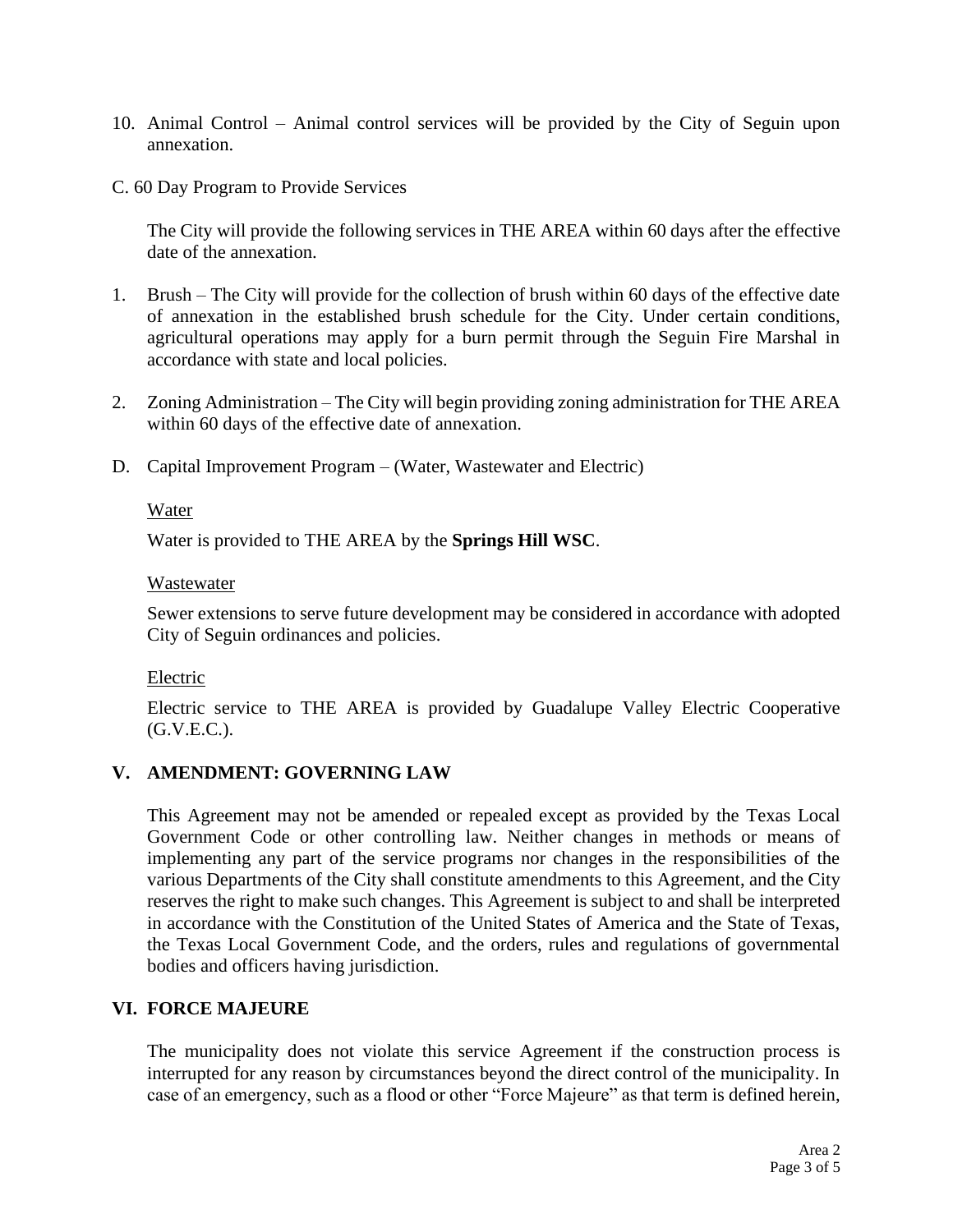- 10. Animal Control Animal control services will be provided by the City of Seguin upon annexation.
- C. 60 Day Program to Provide Services

The City will provide the following services in THE AREA within 60 days after the effective date of the annexation.

- 1. Brush The City will provide for the collection of brush within 60 days of the effective date of annexation in the established brush schedule for the City. Under certain conditions, agricultural operations may apply for a burn permit through the Seguin Fire Marshal in accordance with state and local policies.
- 2. Zoning Administration The City will begin providing zoning administration for THE AREA within 60 days of the effective date of annexation.
- D. Capital Improvement Program (Water, Wastewater and Electric)

## Water

Water is provided to THE AREA by the **Springs Hill WSC**.

#### Wastewater

Sewer extensions to serve future development may be considered in accordance with adopted City of Seguin ordinances and policies.

#### Electric

Electric service to THE AREA is provided by Guadalupe Valley Electric Cooperative  $(G.V.E.C.).$ 

# **V. AMENDMENT: GOVERNING LAW**

This Agreement may not be amended or repealed except as provided by the Texas Local Government Code or other controlling law. Neither changes in methods or means of implementing any part of the service programs nor changes in the responsibilities of the various Departments of the City shall constitute amendments to this Agreement, and the City reserves the right to make such changes. This Agreement is subject to and shall be interpreted in accordance with the Constitution of the United States of America and the State of Texas, the Texas Local Government Code, and the orders, rules and regulations of governmental bodies and officers having jurisdiction.

# **VI. FORCE MAJEURE**

The municipality does not violate this service Agreement if the construction process is interrupted for any reason by circumstances beyond the direct control of the municipality. In case of an emergency, such as a flood or other "Force Majeure" as that term is defined herein,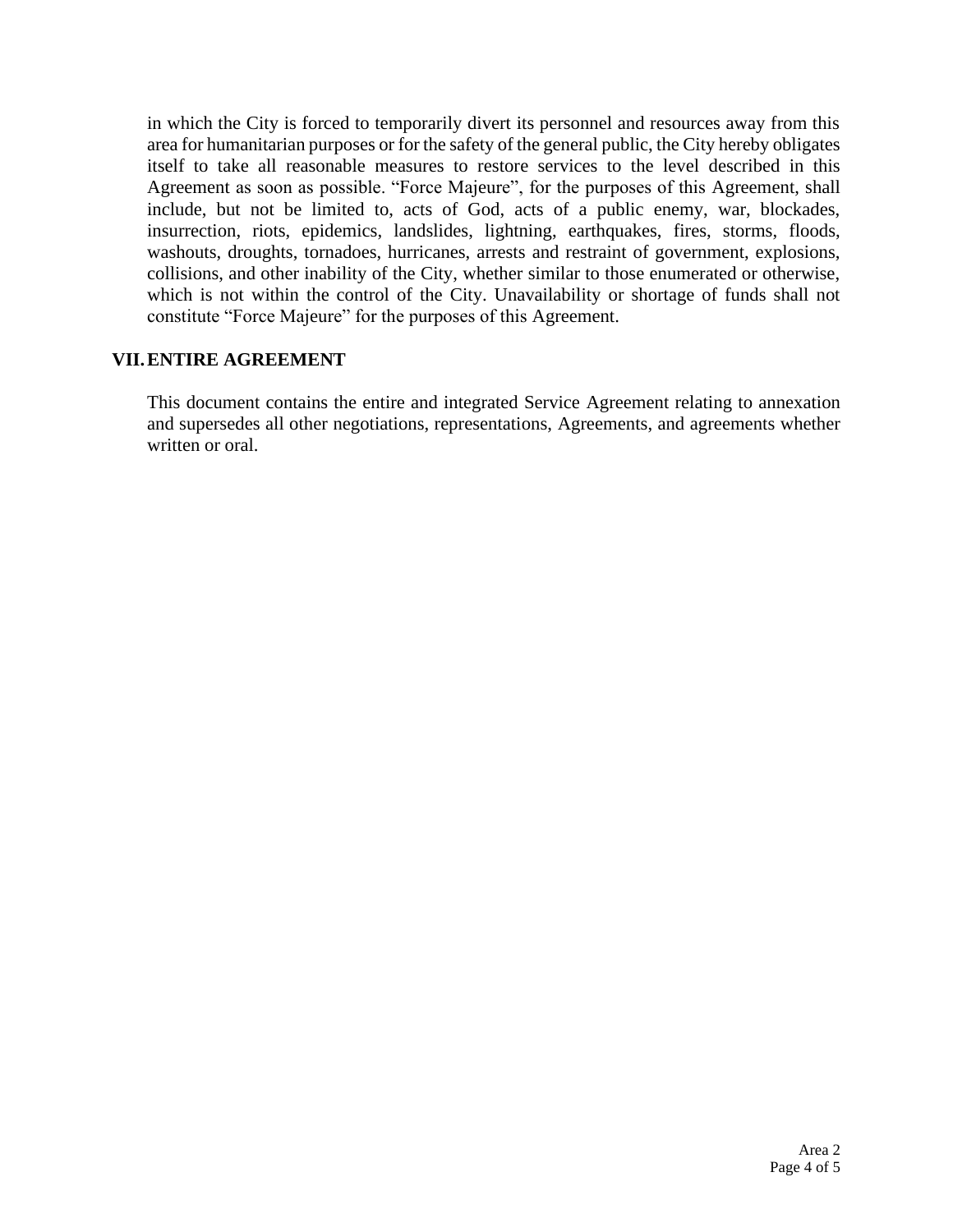in which the City is forced to temporarily divert its personnel and resources away from this area for humanitarian purposes or for the safety of the general public, the City hereby obligates itself to take all reasonable measures to restore services to the level described in this Agreement as soon as possible. "Force Majeure", for the purposes of this Agreement, shall include, but not be limited to, acts of God, acts of a public enemy, war, blockades, insurrection, riots, epidemics, landslides, lightning, earthquakes, fires, storms, floods, washouts, droughts, tornadoes, hurricanes, arrests and restraint of government, explosions, collisions, and other inability of the City, whether similar to those enumerated or otherwise, which is not within the control of the City. Unavailability or shortage of funds shall not constitute "Force Majeure" for the purposes of this Agreement.

## **VII.ENTIRE AGREEMENT**

This document contains the entire and integrated Service Agreement relating to annexation and supersedes all other negotiations, representations, Agreements, and agreements whether written or oral.